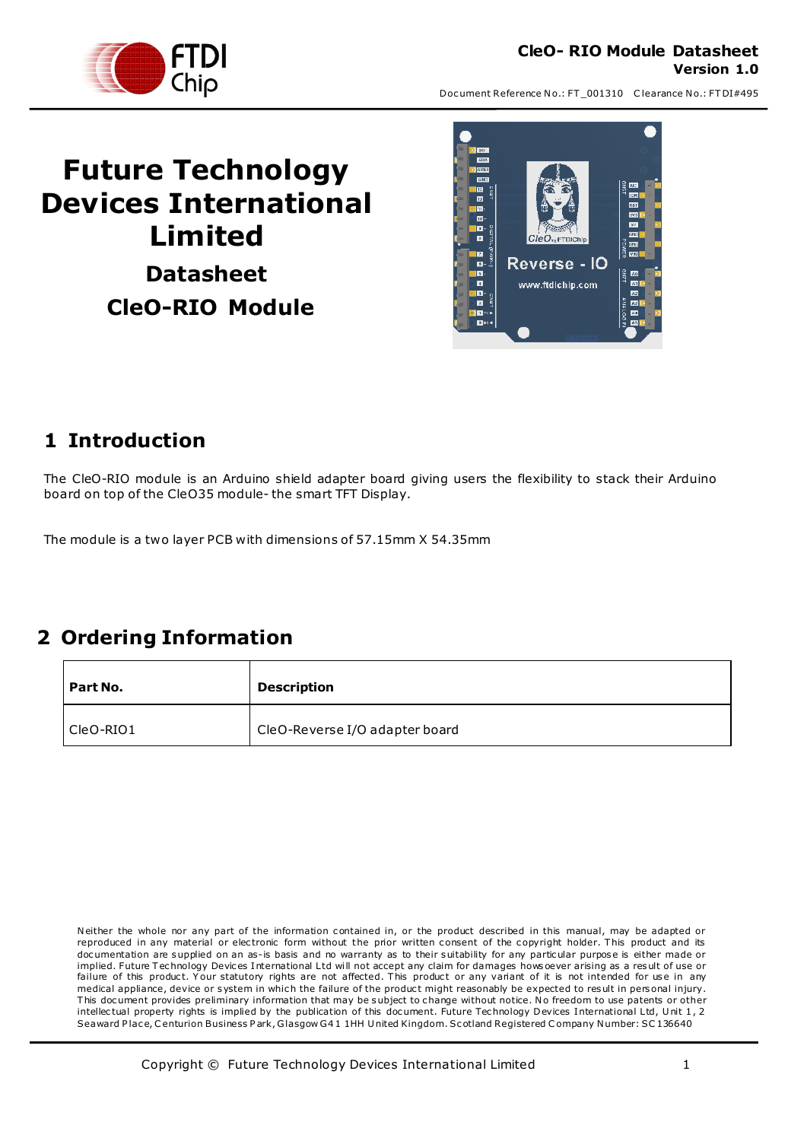

### **CleO- RIO Module Datasheet Version 1.0**

Document Reference No.: FT\_001310 Clearance No.: FTDI#495

# **Future Technology Devices International Limited Datasheet CleO-RIO Module**



### <span id="page-0-0"></span>**1 Introduction**

The CleO-RIO module is an Arduino shield adapter board giving users the flexibility to stack their Arduino board on top of the CleO35 module- the smart TFT Display.

The module is a two layer PCB with dimensions of 57.15mm X 54.35mm

## <span id="page-0-1"></span>**2 Ordering Information**

| Part No.    | <b>Description</b>             |
|-------------|--------------------------------|
| l CleO-RIO1 | CleO-Reverse I/O adapter board |

Neither the whole nor any part of the information contained in, or the product described in this manual, may be adapted or reproduced in any material or electronic form without the prior written consent of the copyright holder. This product and its doc umentation are supplied on an as-is basis and no warranty as to their suitability for any particular purpose is either made or implied. Future Technology Devices International Ltd will not accept any claim for damages hows oever arising as a result of use or failure of this product. Your statutory rights are not affected. This product or any variant of it is not intended for use in any medical appliance, device or system in which the failure of the product might reasonably be expected to result in personal injury. This document provides preliminary information that may be subject to change without notice. No freedom to use patents or other intellectual property rights is implied by the publication of this document. Future Technology Devices International Ltd, Unit 1, 2 Seaward Place, Centurion Business Park, Glasgow G41 1HH United Kingdom. Scotland Registered Company Number: SC136640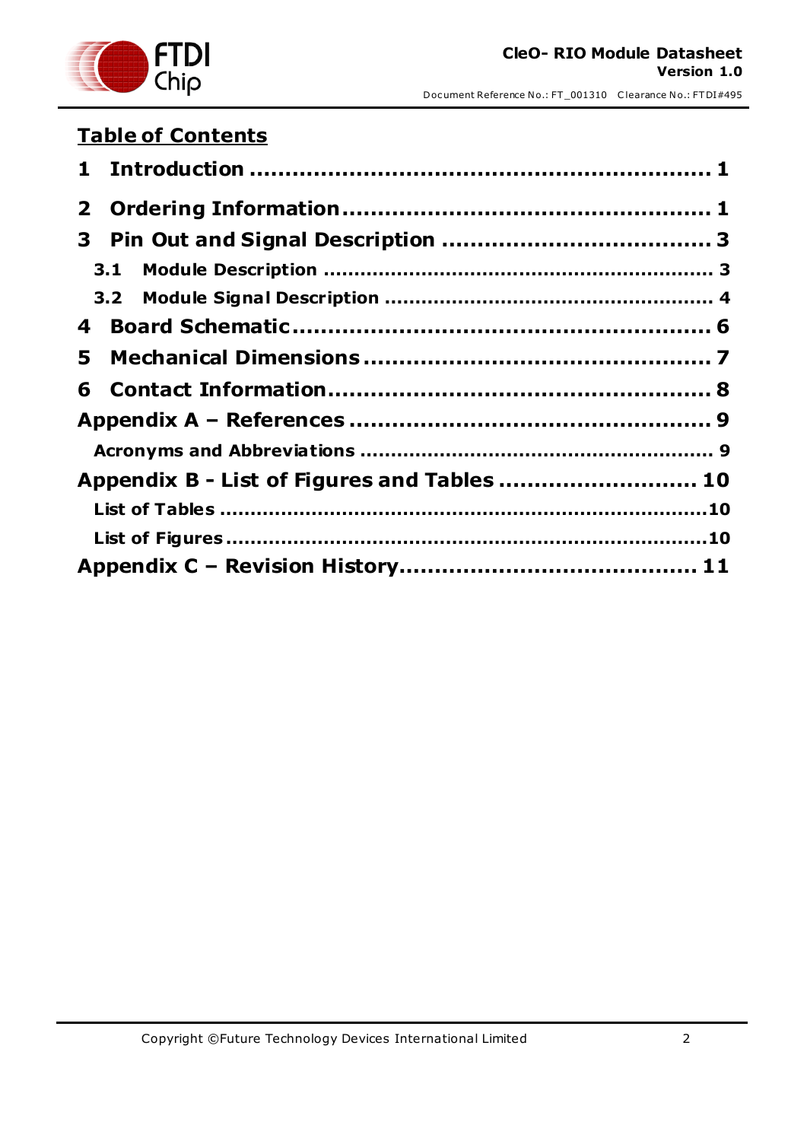

## **Table of Contents**

| 3.1                                         |  |
|---------------------------------------------|--|
|                                             |  |
| 4                                           |  |
| 5.                                          |  |
|                                             |  |
|                                             |  |
|                                             |  |
| Appendix B - List of Figures and Tables  10 |  |
|                                             |  |
|                                             |  |
|                                             |  |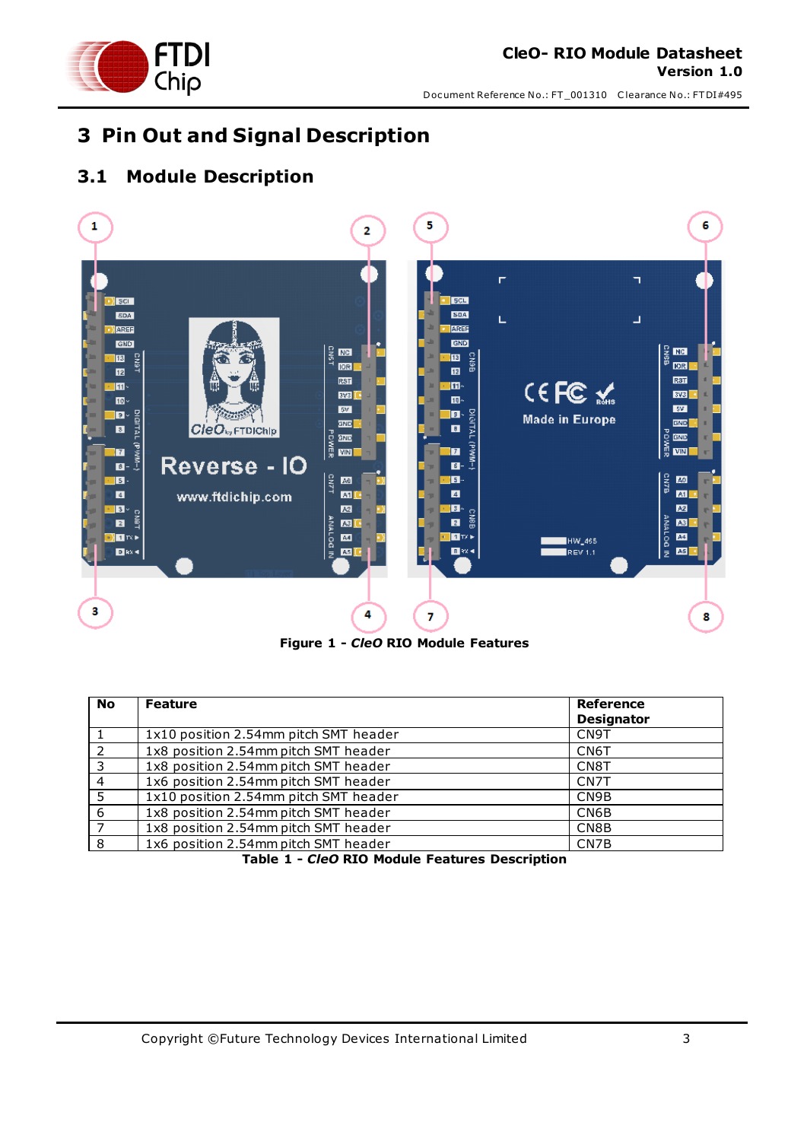

## <span id="page-2-0"></span>**3 Pin Out and Signal Description**

### <span id="page-2-1"></span>**3.1 Module Description**



**Figure 1 -** *CleO* **RIO Module Features**

<span id="page-2-3"></span><span id="page-2-2"></span>

| <b>No</b>      | <b>Feature</b>                        | Reference         |
|----------------|---------------------------------------|-------------------|
|                |                                       | <b>Designator</b> |
|                | 1x10 position 2.54mm pitch SMT header | CN <sub>9</sub> T |
|                | 1x8 position 2.54mm pitch SMT header  | CN6T              |
| २              | 1x8 position 2.54mm pitch SMT header  | CN <sub>8</sub> T |
| $\overline{4}$ | 1x6 position 2.54mm pitch SMT header  | CN <sub>7</sub> T |
| 5              | 1x10 position 2.54mm pitch SMT header | CN9B              |
| 6              | 1x8 position 2.54mm pitch SMT header  | CN6B              |
|                | 1x8 position 2.54mm pitch SMT header  | CN8B              |
| -8             | 1x6 position 2.54mm pitch SMT header  | CN7B              |

**Table 1 -** *CleO* **RIO Module Features Description**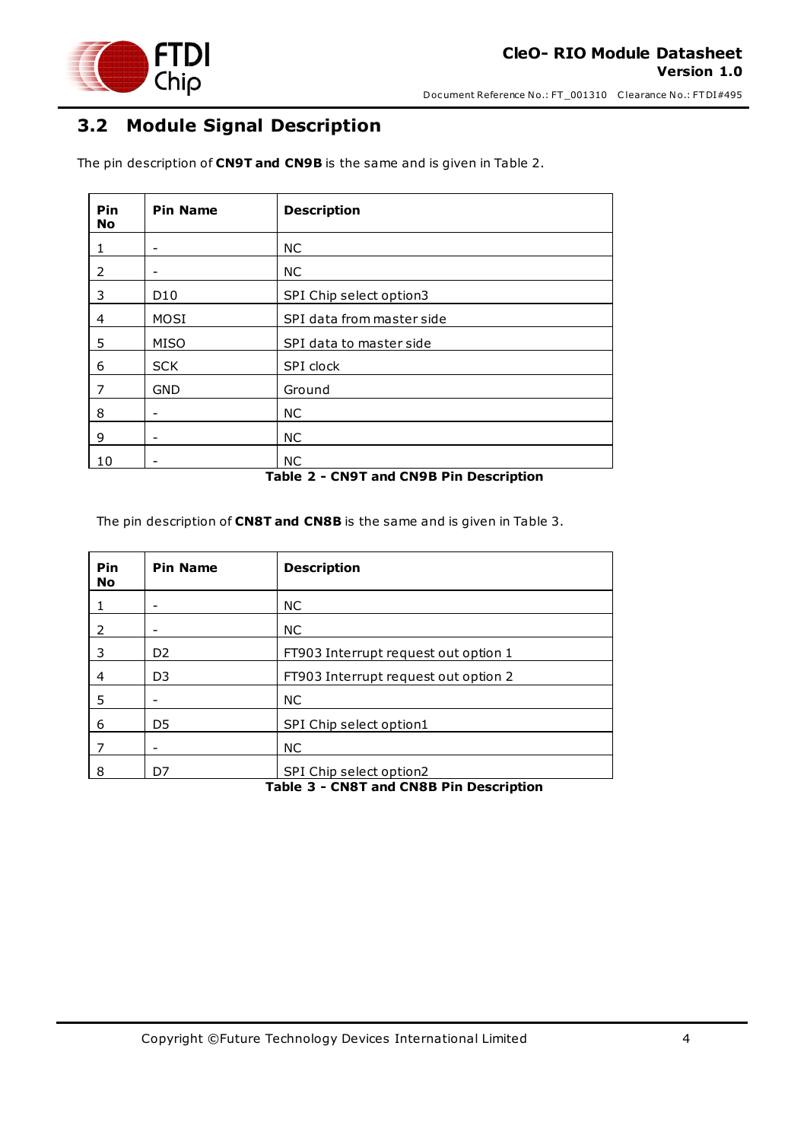

### <span id="page-3-0"></span>**3.2 Module Signal Description**

The pin description of **CN9T and CN9B** is the same and is given in Table 2.

| Pin<br><b>No</b> | <b>Pin Name</b>          | <b>Description</b>        |
|------------------|--------------------------|---------------------------|
|                  | -                        | <b>NC</b>                 |
| 2                | -                        | <b>NC</b>                 |
| 3                | D <sub>10</sub>          | SPI Chip select option3   |
| 4                | MOSI                     | SPI data from master side |
| 5                | <b>MISO</b>              | SPI data to master side   |
| 6                | <b>SCK</b>               | SPI clock                 |
| 7                | <b>GND</b>               | Ground                    |
| 8                | -                        | <b>NC</b>                 |
| 9                | $\overline{\phantom{a}}$ | NC.                       |
| 10               | -                        | <b>NC</b>                 |

### **Table 2 - CN9T and CN9B Pin Description**

<span id="page-3-1"></span>The pin description of **CN8T and CN8B** is the same and is given in Table 3.

<span id="page-3-2"></span>

| Pin<br><b>No</b>                        | <b>Pin Name</b> | <b>Description</b>                   |
|-----------------------------------------|-----------------|--------------------------------------|
|                                         |                 | <b>NC</b>                            |
| 2                                       | $\qquad \qquad$ | <b>NC</b>                            |
| 3                                       | D <sub>2</sub>  | FT903 Interrupt request out option 1 |
| 4                                       | D <sub>3</sub>  | FT903 Interrupt request out option 2 |
| 5                                       | -               | <b>NC</b>                            |
| 6                                       | D <sub>5</sub>  | SPI Chip select option1              |
|                                         | -               | <b>NC</b>                            |
| 8                                       | D7              | SPI Chip select option2              |
| Table 3 - CN8T and CN8B Pin Description |                 |                                      |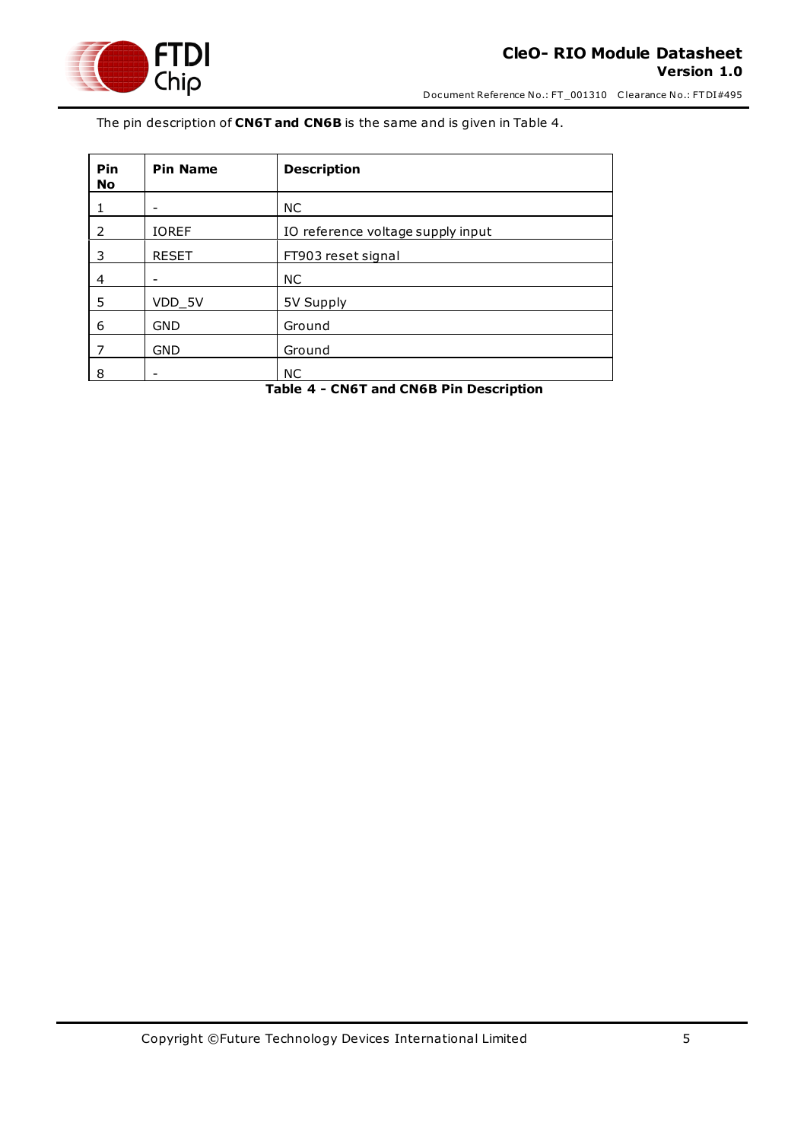

The pin description of **CN6T and CN6B** is the same and is given in Table 4.

| Pin<br><b>No</b> | <b>Pin Name</b> | <b>Description</b>                |
|------------------|-----------------|-----------------------------------|
|                  | -               | NC.                               |
| 2                | <b>IOREF</b>    | IO reference voltage supply input |
| 3                | <b>RESET</b>    | FT903 reset signal                |
| 4                | -               | NC.                               |
| 5                | VDD_5V          | 5V Supply                         |
| 6                | <b>GND</b>      | Ground                            |
|                  | <b>GND</b>      | Ground                            |
| 8                | -               | <b>NC</b>                         |

<span id="page-4-0"></span>**Table 4 - CN6T and CN6B Pin Description**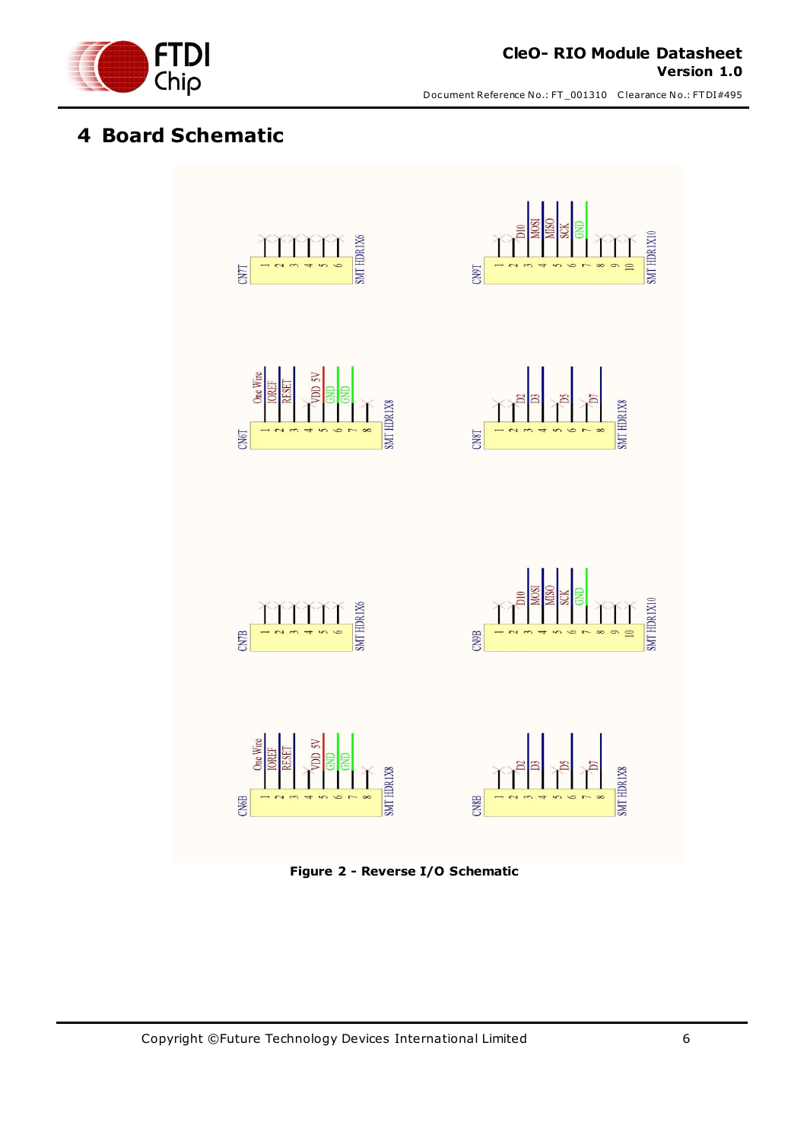

### <span id="page-5-0"></span>**4 Board Schematic**



<span id="page-5-1"></span>**Figure 2 - Reverse I/O Schematic**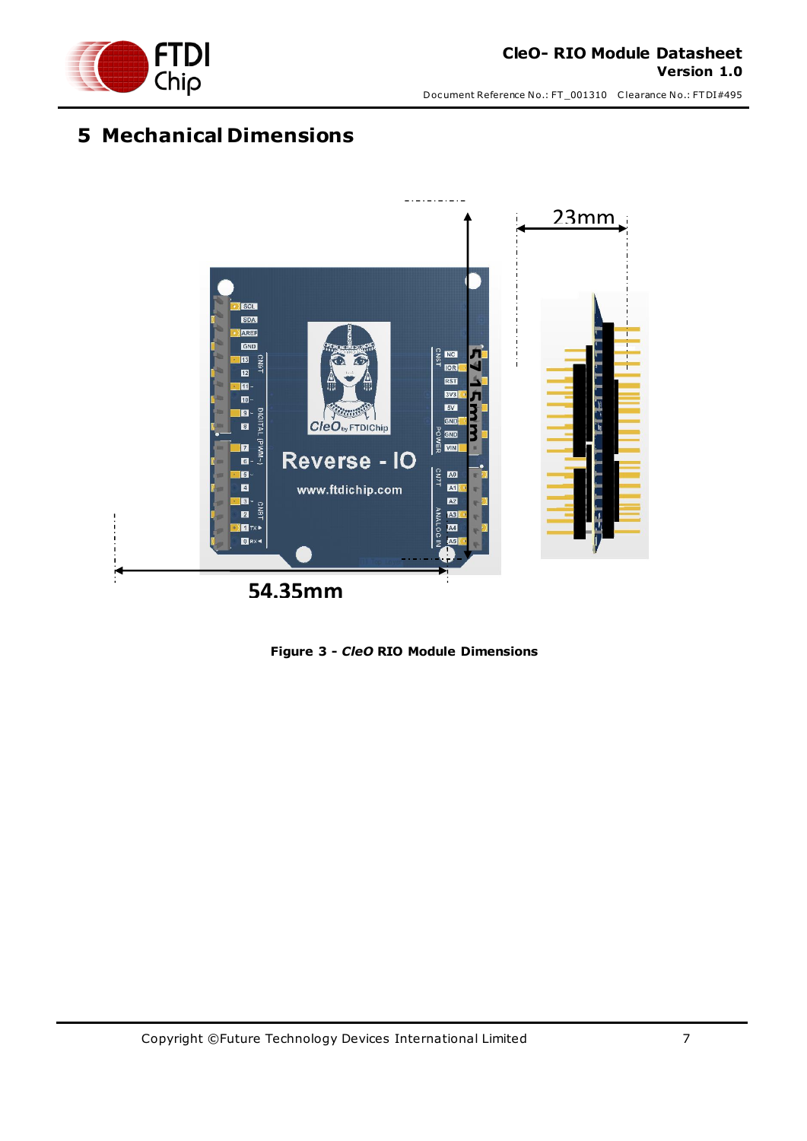

## <span id="page-6-0"></span>**5 Mechanical Dimensions**

<span id="page-6-1"></span>

**Figure 3 -** *CleO* **RIO Module Dimensions**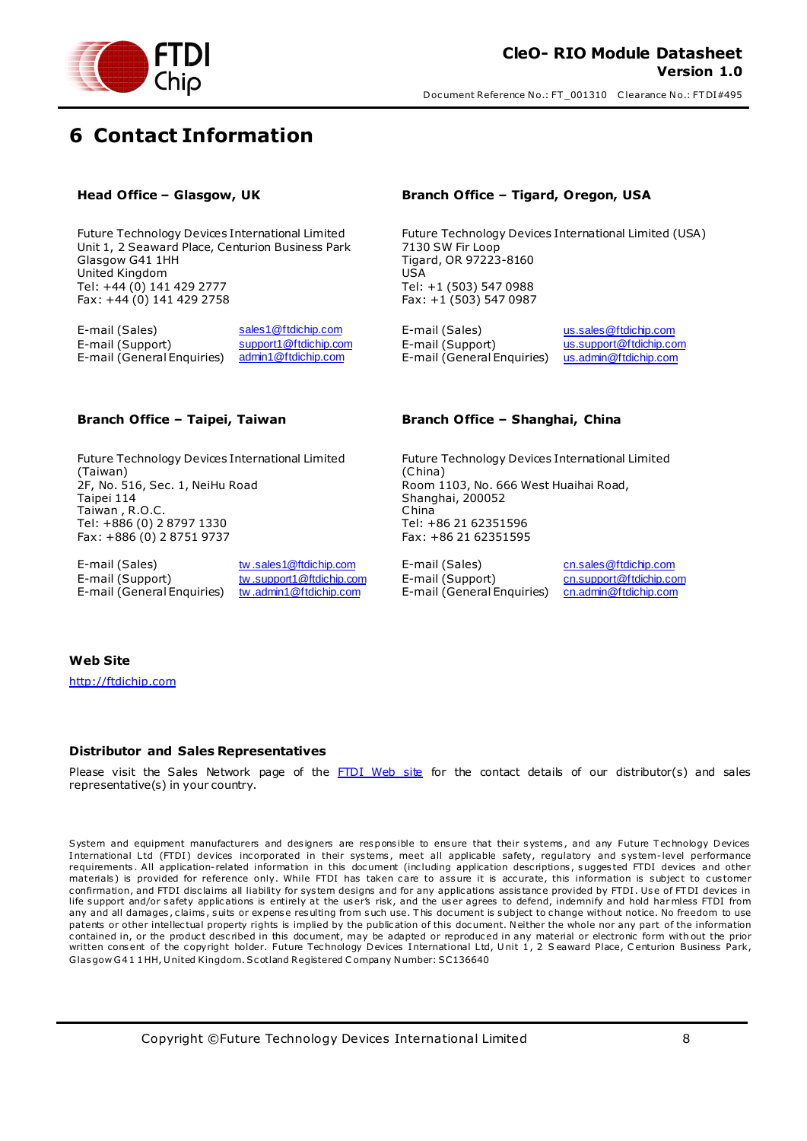

## <span id="page-7-0"></span>**6 Contact Information**

Future Technology Devices International Limited Unit 1, 2 Seaward Place, Centurion Business Park Glasgow G41 1HH United Kingdom Tel: +44 (0) 141 429 2777 Fax: +44 (0) 141 429 2758

E-mail (Sales) [sales1@ftdichip.com](mailto:sales1@ftdichip.com) E-mail (Sales) [us.sales@ftdichip.com](mailto:us.sales@ftdichip.com) E-mail (Support) [support1@ftdichip.com](mailto:support1@ftdichip.com) E-mail (Support) [us.support@ftdichip.com](mailto:us.support@ftdichip.com)<br>E-mail (General Enquiries) admin1@ftdichip.com E-mail (General Enquiries) us.admin@ftdichip.com E-mail (General Enquiries) [admin1@ftdichip.com](mailto:admin1@ftdichip.com) E-mail (General Enquiries) [us.admin@ftdichip.com](mailto:us.admin@ftdichip.com)

Future Technology Devices International Limited (Taiwan) 2F, No. 516, Sec. 1, NeiHu Road Taipei 114 Taiwan , R.O.C. Tel: +886 (0) 2 8797 1330 Fax: +886 (0) 2 8751 9737

E-mail (Sales) twith the sales to two mail (Sales) come that the community of the community of the E-mail (Sales) community community community community community community community community community community communit E-mail (General Enquiries) [tw .admin1@ftdichip.com](mailto:tw.admin1@ftdichip.com) E-mail (General Enquiries) [cn.admin@ftdichip.com](mailto:cn.admin@ftdichip.com)

### **Head Office – Glasgow, UK Branch Office – Tigard, Oregon, USA**

Future Technology Devices International Limited (USA) 7130 SW Fir Loop Tigard, OR 97223-8160 USA Tel: +1 (503) 547 0988 Fax: +1 (503) 547 0987

### **Branch Office – Taipei, Taiwan Branch Office – Shanghai, China**

Future Technology Devices International Limited (China) Room 1103, No. 666 West Huaihai Road, Shanghai, 200052 China Tel: +86 21 62351596 Fax: +86 21 62351595

E-mail (Support) [tw .support1@ftdichip.com](mailto:tw.support1@ftdichip.com) E-mail (Support) [cn.support@ftdichip.com](mailto:cn.support@ftdichip.com)

### **Web Site**

[http://ftdichip.com](http://ftdichip.com/)

### **Distributor and Sales Representatives**

Please visit the Sales Network page of the [FTDI Web site](http://ftdichip.com/FTSalesNetwork.htm) for the contact details of our distributor(s) and sales representative(s) in your country.

System and equipment manufacturers and designers are responsible to ensure that their systems, and any Future Technology Devices International Ltd (FTDI) devices incorporated in their systems, meet all applicable safety, regulatory and system-level performance requirements . All application-related information in this doc ument (inc luding application desc riptions , s ugges ted FTDI devices and other materials) is provided for reference only. While FTDI has taken care to assure it is accurate, this information is subject to customer confirmation, and FTDI disclaims all liability for system designs and for any applications assistance provided by FTDI. Use of FTDI devices in life support and/or safety applications is entirely at the user's risk, and the user agrees to defend, indemnify and hold har mless FTDI from any and all damages, claims, suits or expense resulting from such use. This document is subject to change without notice. No freedom to use patents or other intellectual property rights is implied by the publication of this document. Neither the whole nor any part of the information contained in, or the product described in this document, may be adapted or reproduced in any material or electronic form with out the prior written consent of the copyright holder. Future Technology Devices International Ltd, Unit 1, 2 Seaward Place, Centurion Business Park, Glas gow G4 1 1 HH, U nited Kingdom. Sc otland Registered C ompany N umber: SC136640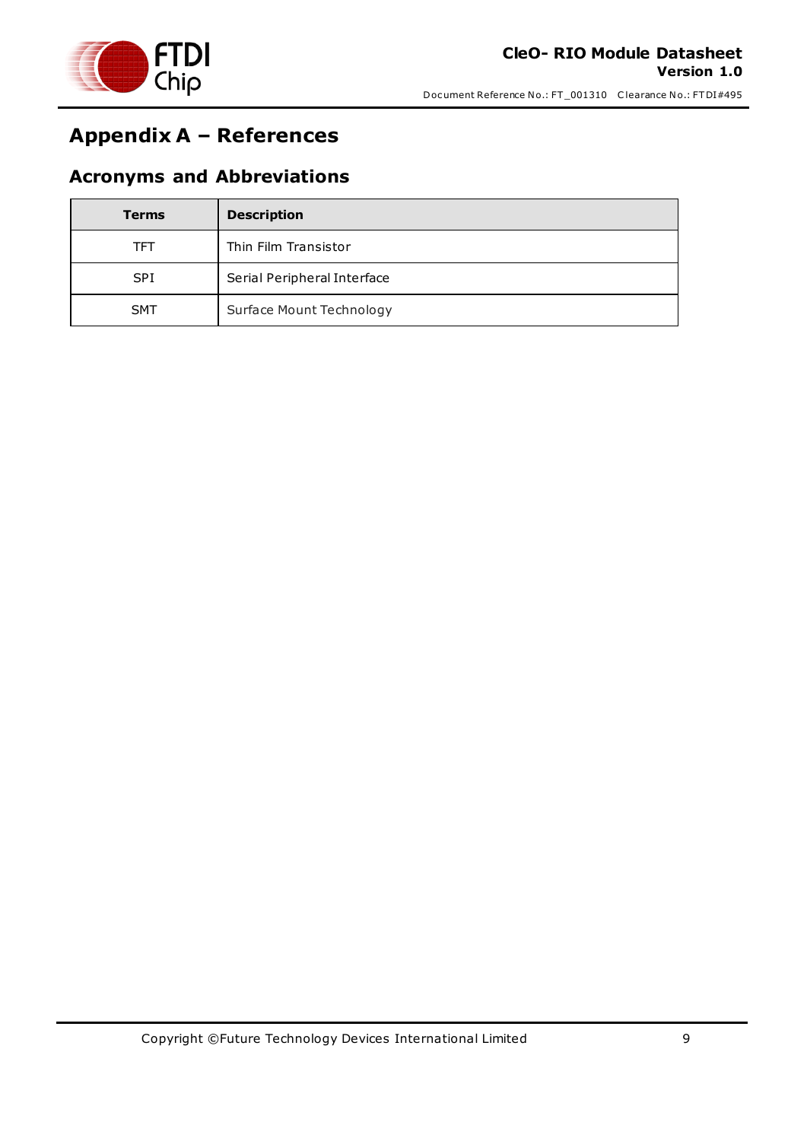

## <span id="page-8-0"></span>**Appendix A – References**

### <span id="page-8-1"></span>**Acronyms and Abbreviations**

| <b>Terms</b> | <b>Description</b>          |
|--------------|-----------------------------|
| TFT          | Thin Film Transistor        |
| <b>SPI</b>   | Serial Peripheral Interface |
| <b>SMT</b>   | Surface Mount Technology    |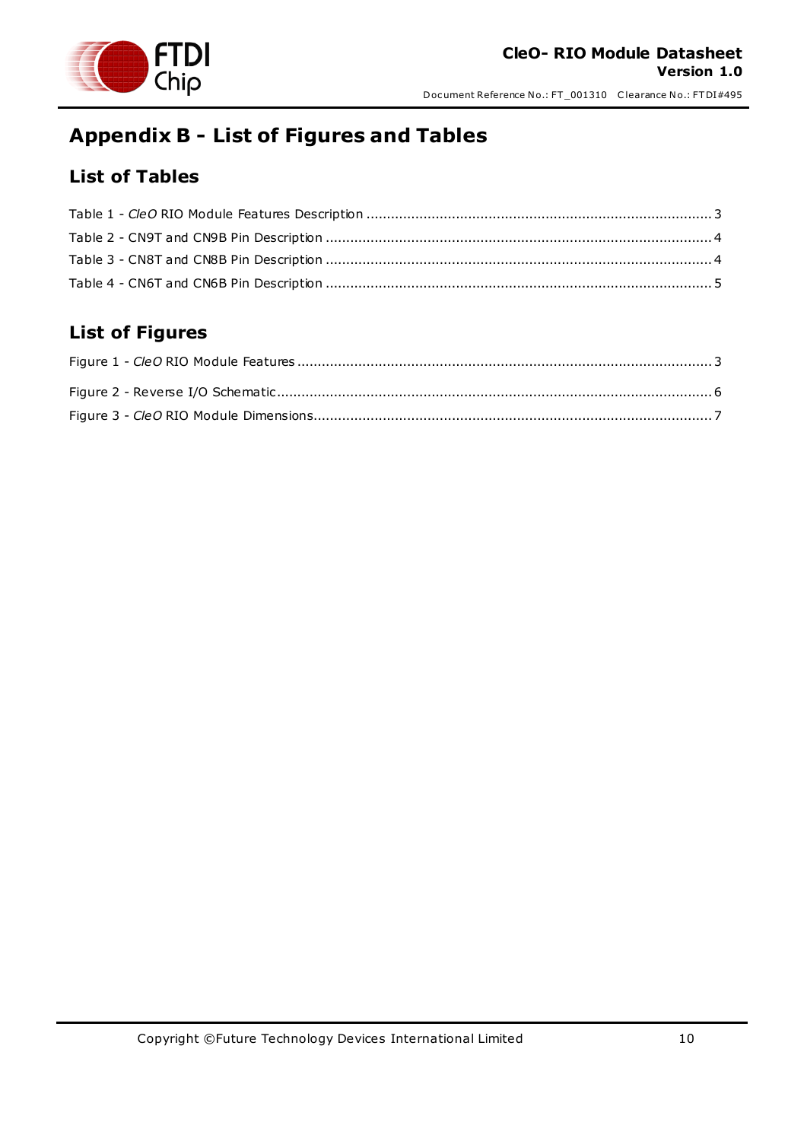

## <span id="page-9-0"></span>**Appendix B - List of Figures and Tables**

### <span id="page-9-1"></span>**List of Tables**

### <span id="page-9-2"></span>**List of Figures**